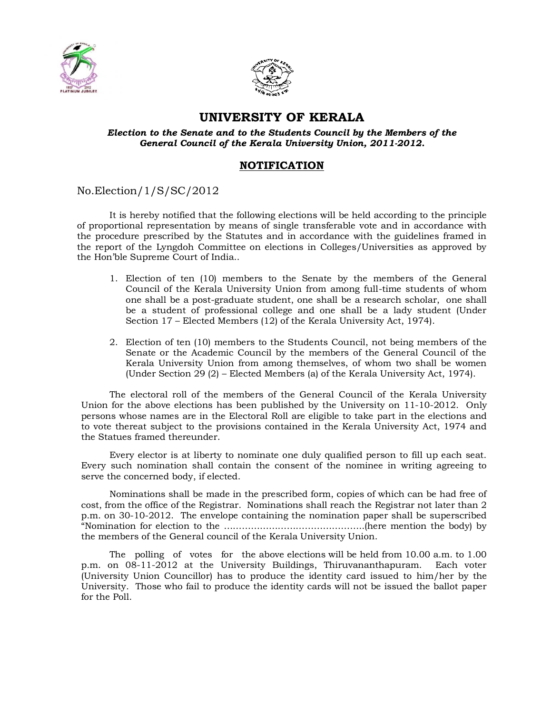



## **UNIVERSITY OF KERALA**

*Election to the Senate and to the Students Council by the Members of the General Council of the Kerala University Union, 2011-2012.*

## **NOTIFICATION**

No.Election/1/S/SC/2012

It is hereby notified that the following elections will be held according to the principle of proportional representation by means of single transferable vote and in accordance with the procedure prescribed by the Statutes and in accordance with the guidelines framed in the report of the Lyngdoh Committee on elections in Colleges/Universities as approved by the Hon'ble Supreme Court of India..

- 1. Election of ten (10) members to the Senate by the members of the General Council of the Kerala University Union from among full-time students of whom one shall be a post-graduate student, one shall be a research scholar, one shall be a student of professional college and one shall be a lady student (Under Section 17 – Elected Members (12) of the Kerala University Act, 1974).
- 2. Election of ten (10) members to the Students Council, not being members of the Senate or the Academic Council by the members of the General Council of the Kerala University Union from among themselves, of whom two shall be women (Under Section 29 (2) – Elected Members (a) of the Kerala University Act, 1974).

The electoral roll of the members of the General Council of the Kerala University Union for the above elections has been published by the University on 11-10-2012. Only persons whose names are in the Electoral Roll are eligible to take part in the elections and to vote thereat subject to the provisions contained in the Kerala University Act, 1974 and the Statues framed thereunder.

Every elector is at liberty to nominate one duly qualified person to fill up each seat. Every such nomination shall contain the consent of the nominee in writing agreeing to serve the concerned body, if elected.

Nominations shall be made in the prescribed form, copies of which can be had free of cost, from the office of the Registrar. Nominations shall reach the Registrar not later than 2 p.m. on 30-10-2012. The envelope containing the nomination paper shall be superscribed "Nomination for election to the ………………………………………..(here mention the body) by the members of the General council of the Kerala University Union.

The polling of votes for the above elections will be held from 10.00 a.m. to 1.00 p.m. on 08-11-2012 at the University Buildings, Thiruvananthapuram. Each voter (University Union Councillor) has to produce the identity card issued to him/her by the University. Those who fail to produce the identity cards will not be issued the ballot paper for the Poll.